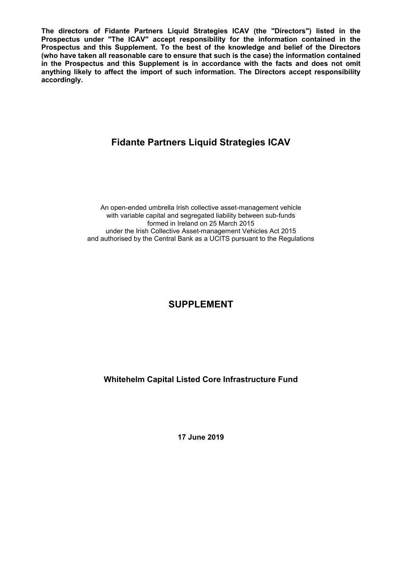**The directors of Fidante Partners Liquid Strategies ICAV (the "Directors") listed in the Prospectus under "The ICAV" accept responsibility for the information contained in the Prospectus and this Supplement. To the best of the knowledge and belief of the Directors (who have taken all reasonable care to ensure that such is the case) the information contained in the Prospectus and this Supplement is in accordance with the facts and does not omit anything likely to affect the import of such information. The Directors accept responsibility accordingly.**

# **Fidante Partners Liquid Strategies ICAV**

An open-ended umbrella Irish collective asset-management vehicle with variable capital and segregated liability between sub-funds formed in Ireland on 25 March 2015 under the Irish Collective Asset-management Vehicles Act 2015 and authorised by the Central Bank as a UCITS pursuant to the Regulations

# **SUPPLEMENT**

**Whitehelm Capital Listed Core Infrastructure Fund**

**17 June 2019**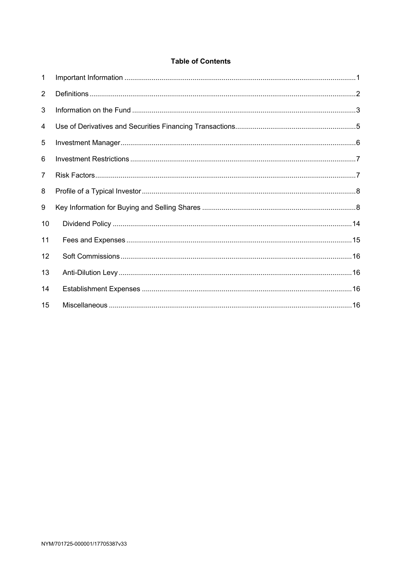# **Table of Contents**

| 1              |  |
|----------------|--|
| $\overline{2}$ |  |
| 3              |  |
| 4              |  |
| 5              |  |
| 6              |  |
| $\overline{7}$ |  |
| 8              |  |
| 9              |  |
| 10             |  |
| 11             |  |
| 12             |  |
| 13             |  |
| 14             |  |
| 15             |  |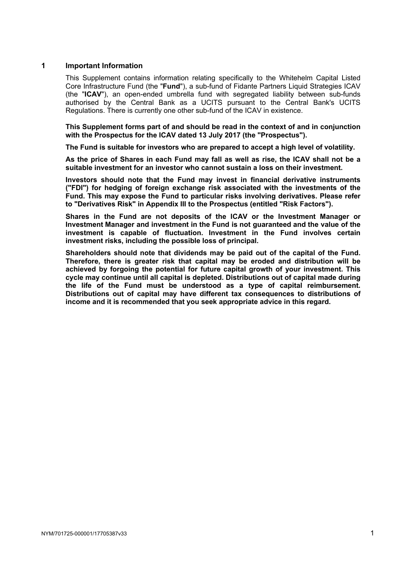## **1 Important Information**

This Supplement contains information relating specifically to the Whitehelm Capital Listed Core Infrastructure Fund (the "**Fund**"), a sub-fund of Fidante Partners Liquid Strategies ICAV (the "**ICAV**"), an open-ended umbrella fund with segregated liability between sub-funds authorised by the Central Bank as a UCITS pursuant to the Central Bank's UCITS Regulations. There is currently one other sub-fund of the ICAV in existence.

**This Supplement forms part of and should be read in the context of and in conjunction with the Prospectus for the ICAV dated 13 July 2017 (the "Prospectus").** 

**The Fund is suitable for investors who are prepared to accept a high level of volatility.**

**As the price of Shares in each Fund may fall as well as rise, the ICAV shall not be a suitable investment for an investor who cannot sustain a loss on their investment.** 

**Investors should note that the Fund may invest in financial derivative instruments ("FDI") for hedging of foreign exchange risk associated with the investments of the Fund. This may expose the Fund to particular risks involving derivatives. Please refer to "Derivatives Risk" in Appendix III to the Prospectus (entitled "Risk Factors").**

**Shares in the Fund are not deposits of the ICAV or the Investment Manager or Investment Manager and investment in the Fund is not guaranteed and the value of the investment is capable of fluctuation. Investment in the Fund involves certain investment risks, including the possible loss of principal.**

**Shareholders should note that dividends may be paid out of the capital of the Fund. Therefore, there is greater risk that capital may be eroded and distribution will be achieved by forgoing the potential for future capital growth of your investment. This cycle may continue until all capital is depleted. Distributions out of capital made during the life of the Fund must be understood as a type of capital reimbursement. Distributions out of capital may have different tax consequences to distributions of income and it is recommended that you seek appropriate advice in this regard.**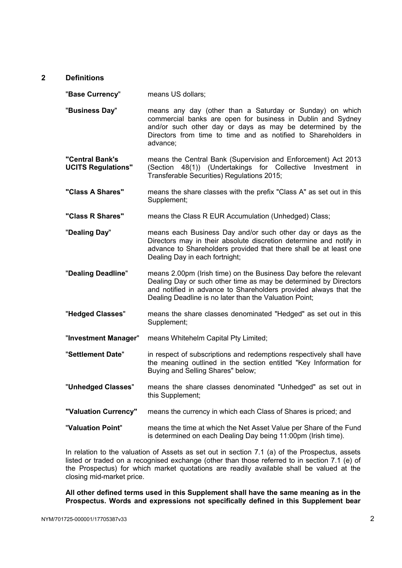# **2 Definitions**

"**Base Currency**" means US dollars;

- "**Business Day**" means any day (other than a Saturday or Sunday) on which commercial banks are open for business in Dublin and Sydney and/or such other day or days as may be determined by the Directors from time to time and as notified to Shareholders in advance;
- **"Central Bank's UCITS Regulations"** means the Central Bank (Supervision and Enforcement) Act 2013 (Section 48(1)) (Undertakings for Collective Investment in Transferable Securities) Regulations 2015;
- **"Class A Shares"** means the share classes with the prefix "Class A" as set out in this Supplement;
- **"Class R Shares"** means the Class R EUR Accumulation (Unhedged) Class;
- "**Dealing Day**" means each Business Day and/or such other day or days as the Directors may in their absolute discretion determine and notify in advance to Shareholders provided that there shall be at least one Dealing Day in each fortnight;
- "**Dealing Deadline**" means 2.00pm (Irish time) on the Business Day before the relevant Dealing Day or such other time as may be determined by Directors and notified in advance to Shareholders provided always that the Dealing Deadline is no later than the Valuation Point;
- "**Hedged Classes**" means the share classes denominated "Hedged" as set out in this Supplement;
- "**Investment Manager**" means Whitehelm Capital Pty Limited;
- "**Settlement Date**" in respect of subscriptions and redemptions respectively shall have the meaning outlined in the section entitled "Key Information for Buying and Selling Shares" below;
- "**Unhedged Classes**" means the share classes denominated "Unhedged" as set out in this Supplement;
- **"Valuation Currency"** means the currency in which each Class of Shares is priced; and
- "**Valuation Point**" means the time at which the Net Asset Value per Share of the Fund is determined on each Dealing Day being 11:00pm (Irish time).

In relation to the valuation of Assets as set out in section 7.1 (a) of the Prospectus, assets listed or traded on a recognised exchange (other than those referred to in section 7.1 (e) of the Prospectus) for which market quotations are readily available shall be valued at the closing mid-market price.

**All other defined terms used in this Supplement shall have the same meaning as in the Prospectus. Words and expressions not specifically defined in this Supplement bear**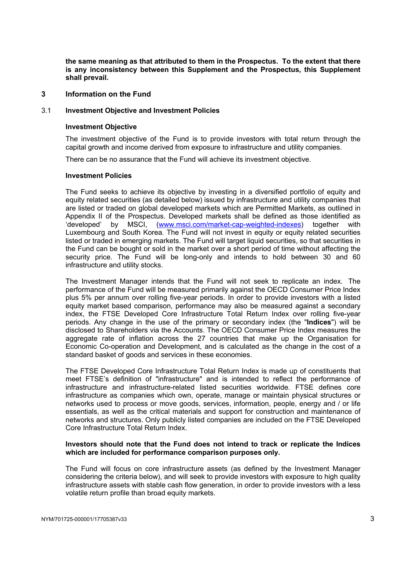**the same meaning as that attributed to them in the Prospectus. To the extent that there is any inconsistency between this Supplement and the Prospectus, this Supplement shall prevail.** 

# **3 Information on the Fund**

#### 3.1 **Investment Objective and Investment Policies**

#### **Investment Objective**

The investment objective of the Fund is to provide investors with total return through the capital growth and income derived from exposure to infrastructure and utility companies.

There can be no assurance that the Fund will achieve its investment objective.

## **Investment Policies**

The Fund seeks to achieve its objective by investing in a diversified portfolio of equity and equity related securities (as detailed below) issued by infrastructure and utility companies that are listed or traded on global developed markets which are Permitted Markets, as outlined in Appendix II of the Prospectus. Developed markets shall be defined as those identified as 'developed' by MSCI, (www.msci.com/market-cap-weighted-indexes) together with Luxembourg and South Korea. The Fund will not invest in equity or equity related securities listed or traded in emerging markets. The Fund will target liquid securities, so that securities in the Fund can be bought or sold in the market over a short period of time without affecting the security price. The Fund will be long-only and intends to hold between 30 and 60 infrastructure and utility stocks.

The Investment Manager intends that the Fund will not seek to replicate an index. The performance of the Fund will be measured primarily against the OECD Consumer Price Index plus 5% per annum over rolling five-year periods. In order to provide investors with a listed equity market based comparison, performance may also be measured against a secondary index, the FTSE Developed Core Infrastructure Total Return Index over rolling five-year periods. Any change in the use of the primary or secondary index (the "**Indices**") will be disclosed to Shareholders via the Accounts. The OECD Consumer Price Index measures the aggregate rate of inflation across the 27 countries that make up the Organisation for Economic Co-operation and Development, and is calculated as the change in the cost of a standard basket of goods and services in these economies.

The FTSE Developed Core Infrastructure Total Return Index is made up of constituents that meet FTSE's definition of "infrastructure" and is intended to reflect the performance of infrastructure and infrastructure-related listed securities worldwide. FTSE defines core infrastructure as companies which own, operate, manage or maintain physical structures or networks used to process or move goods, services, information, people, energy and / or life essentials, as well as the critical materials and support for construction and maintenance of networks and structures. Only publicly listed companies are included on the FTSE Developed Core Infrastructure Total Return Index.

## **Investors should note that the Fund does not intend to track or replicate the Indices which are included for performance comparison purposes only.**

The Fund will focus on core infrastructure assets (as defined by the Investment Manager considering the criteria below), and will seek to provide investors with exposure to high quality infrastructure assets with stable cash flow generation, in order to provide investors with a less volatile return profile than broad equity markets.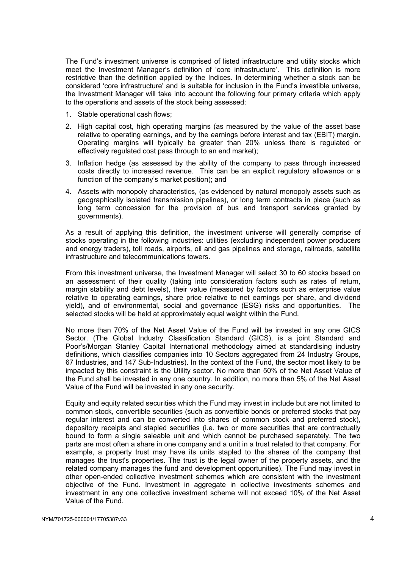The Fund's investment universe is comprised of listed infrastructure and utility stocks which meet the Investment Manager's definition of 'core infrastructure'. This definition is more restrictive than the definition applied by the Indices. In determining whether a stock can be considered 'core infrastructure' and is suitable for inclusion in the Fund's investible universe, the Investment Manager will take into account the following four primary criteria which apply to the operations and assets of the stock being assessed:

- 1. Stable operational cash flows;
- 2. High capital cost, high operating margins (as measured by the value of the asset base relative to operating earnings, and by the earnings before interest and tax (EBIT) margin. Operating margins will typically be greater than 20% unless there is regulated or effectively regulated cost pass through to an end market);
- 3. Inflation hedge (as assessed by the ability of the company to pass through increased costs directly to increased revenue. This can be an explicit regulatory allowance or a function of the company's market position); and
- 4. Assets with monopoly characteristics, (as evidenced by natural monopoly assets such as geographically isolated transmission pipelines), or long term contracts in place (such as long term concession for the provision of bus and transport services granted by governments).

As a result of applying this definition, the investment universe will generally comprise of stocks operating in the following industries: utilities (excluding independent power producers and energy traders), toll roads, airports, oil and gas pipelines and storage, railroads, satellite infrastructure and telecommunications towers.

From this investment universe, the Investment Manager will select 30 to 60 stocks based on an assessment of their quality (taking into consideration factors such as rates of return, margin stability and debt levels), their value (measured by factors such as enterprise value relative to operating earnings, share price relative to net earnings per share, and dividend yield), and of environmental, social and governance (ESG) risks and opportunities. The selected stocks will be held at approximately equal weight within the Fund.

No more than 70% of the Net Asset Value of the Fund will be invested in any one GICS Sector. (The Global Industry Classification Standard (GICS), is a joint Standard and Poor's/Morgan Stanley Capital International methodology aimed at standardising industry definitions, which classifies companies into 10 Sectors aggregated from 24 Industry Groups, 67 Industries, and 147 Sub-Industries). In the context of the Fund, the sector most likely to be impacted by this constraint is the Utility sector. No more than 50% of the Net Asset Value of the Fund shall be invested in any one country. In addition, no more than 5% of the Net Asset Value of the Fund will be invested in any one security.

Equity and equity related securities which the Fund may invest in include but are not limited to common stock, convertible securities (such as convertible bonds or preferred stocks that pay regular interest and can be converted into shares of common stock and preferred stock), depository receipts and stapled securities (i.e. two or more securities that are contractually bound to form a single saleable unit and which cannot be purchased separately. The two parts are most often a share in one company and a unit in a trust related to that company. For example, a property trust may have its units stapled to the shares of the company that manages the trust's properties. The trust is the legal owner of the property assets, and the related company manages the fund and development opportunities). The Fund may invest in other open-ended collective investment schemes which are consistent with the investment objective of the Fund. Investment in aggregate in collective investments schemes and investment in any one collective investment scheme will not exceed 10% of the Net Asset Value of the Fund.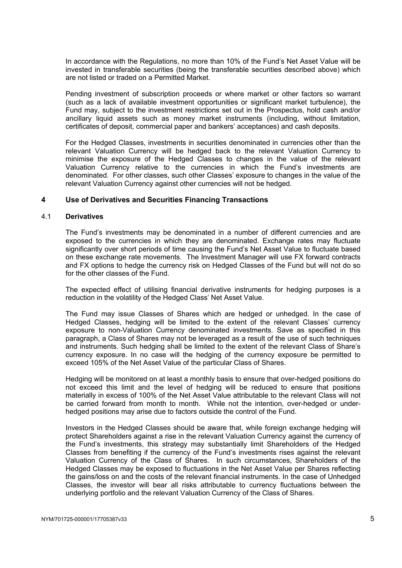In accordance with the Regulations, no more than 10% of the Fund's Net Asset Value will be invested in transferable securities (being the transferable securities described above) which are not listed or traded on a Permitted Market.

Pending investment of subscription proceeds or where market or other factors so warrant (such as a lack of available investment opportunities or significant market turbulence), the Fund may, subject to the investment restrictions set out in the Prospectus, hold cash and/or ancillary liquid assets such as money market instruments (including, without limitation, certificates of deposit, commercial paper and bankers' acceptances) and cash deposits.

For the Hedged Classes, investments in securities denominated in currencies other than the relevant Valuation Currency will be hedged back to the relevant Valuation Currency to minimise the exposure of the Hedged Classes to changes in the value of the relevant Valuation Currency relative to the currencies in which the Fund's investments are denominated. For other classes, such other Classes' exposure to changes in the value of the relevant Valuation Currency against other currencies will not be hedged.

# **4 Use of Derivatives and Securities Financing Transactions**

## 4.1 **Derivatives**

The Fund's investments may be denominated in a number of different currencies and are exposed to the currencies in which they are denominated. Exchange rates may fluctuate significantly over short periods of time causing the Fund's Net Asset Value to fluctuate based on these exchange rate movements. The Investment Manager will use FX forward contracts and FX options to hedge the currency risk on Hedged Classes of the Fund but will not do so for the other classes of the Fund.

The expected effect of utilising financial derivative instruments for hedging purposes is a reduction in the volatility of the Hedged Class' Net Asset Value.

The Fund may issue Classes of Shares which are hedged or unhedged. In the case of Hedged Classes, hedging will be limited to the extent of the relevant Classes' currency exposure to non-Valuation Currency denominated investments. Save as specified in this paragraph, a Class of Shares may not be leveraged as a result of the use of such techniques and instruments. Such hedging shall be limited to the extent of the relevant Class of Share's currency exposure. In no case will the hedging of the currency exposure be permitted to exceed 105% of the Net Asset Value of the particular Class of Shares.

Hedging will be monitored on at least a monthly basis to ensure that over-hedged positions do not exceed this limit and the level of hedging will be reduced to ensure that positions materially in excess of 100% of the Net Asset Value attributable to the relevant Class will not be carried forward from month to month. While not the intention, over-hedged or underhedged positions may arise due to factors outside the control of the Fund.

Investors in the Hedged Classes should be aware that, while foreign exchange hedging will protect Shareholders against a rise in the relevant Valuation Currency against the currency of the Fund's investments, this strategy may substantially limit Shareholders of the Hedged Classes from benefiting if the currency of the Fund's investments rises against the relevant Valuation Currency of the Class of Shares. In such circumstances, Shareholders of the Hedged Classes may be exposed to fluctuations in the Net Asset Value per Shares reflecting the gains/loss on and the costs of the relevant financial instruments. In the case of Unhedged Classes, the investor will bear all risks attributable to currency fluctuations between the underlying portfolio and the relevant Valuation Currency of the Class of Shares.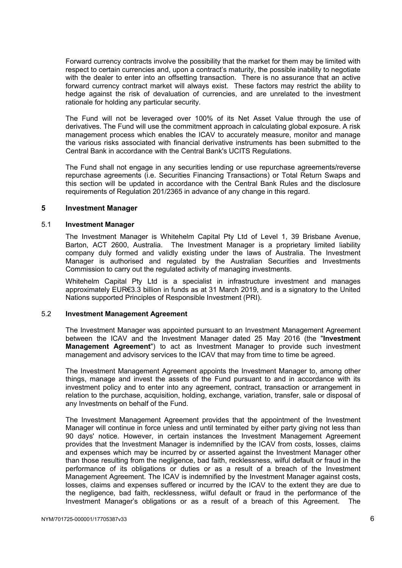Forward currency contracts involve the possibility that the market for them may be limited with respect to certain currencies and, upon a contract's maturity, the possible inability to negotiate with the dealer to enter into an offsetting transaction. There is no assurance that an active forward currency contract market will always exist. These factors may restrict the ability to hedge against the risk of devaluation of currencies, and are unrelated to the investment rationale for holding any particular security.

The Fund will not be leveraged over 100% of its Net Asset Value through the use of derivatives. The Fund will use the commitment approach in calculating global exposure. A risk management process which enables the ICAV to accurately measure, monitor and manage the various risks associated with financial derivative instruments has been submitted to the Central Bank in accordance with the Central Bank's UCITS Regulations.

The Fund shall not engage in any securities lending or use repurchase agreements/reverse repurchase agreements (i.e. Securities Financing Transactions) or Total Return Swaps and this section will be updated in accordance with the Central Bank Rules and the disclosure requirements of Regulation 201/2365 in advance of any change in this regard.

## **5 Investment Manager**

#### 5.1 **Investment Manager**

The Investment Manager is Whitehelm Capital Pty Ltd of Level 1, 39 Brisbane Avenue, Barton, ACT 2600, Australia. The Investment Manager is a proprietary limited liability company duly formed and validly existing under the laws of Australia. The Investment Manager is authorised and regulated by the Australian Securities and Investments Commission to carry out the regulated activity of managing investments.

Whitehelm Capital Pty Ltd is a specialist in infrastructure investment and manages approximately EUR€3.3 billion in funds as at 31 March 2019, and is a signatory to the United Nations supported Principles of Responsible Investment (PRI).

#### 5.2 **Investment Management Agreement**

The Investment Manager was appointed pursuant to an Investment Management Agreement between the ICAV and the Investment Manager dated 25 May 2016 (the "**Investment Management Agreement**") to act as Investment Manager to provide such investment management and advisory services to the ICAV that may from time to time be agreed.

The Investment Management Agreement appoints the Investment Manager to, among other things, manage and invest the assets of the Fund pursuant to and in accordance with its investment policy and to enter into any agreement, contract, transaction or arrangement in relation to the purchase, acquisition, holding, exchange, variation, transfer, sale or disposal of any Investments on behalf of the Fund.

The Investment Management Agreement provides that the appointment of the Investment Manager will continue in force unless and until terminated by either party giving not less than 90 days' notice. However, in certain instances the Investment Management Agreement provides that the Investment Manager is indemnified by the ICAV from costs, losses, claims and expenses which may be incurred by or asserted against the Investment Manager other than those resulting from the negligence, bad faith, recklessness, wilful default or fraud in the performance of its obligations or duties or as a result of a breach of the Investment Management Agreement. The ICAV is indemnified by the Investment Manager against costs, losses, claims and expenses suffered or incurred by the ICAV to the extent they are due to the negligence, bad faith, recklessness, wilful default or fraud in the performance of the Investment Manager's obligations or as a result of a breach of this Agreement. The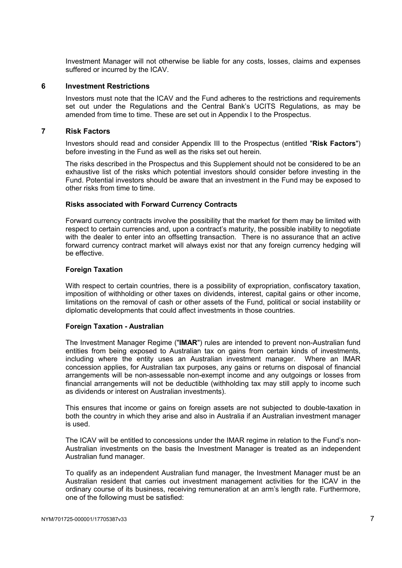Investment Manager will not otherwise be liable for any costs, losses, claims and expenses suffered or incurred by the ICAV.

## **6 Investment Restrictions**

Investors must note that the ICAV and the Fund adheres to the restrictions and requirements set out under the Regulations and the Central Bank's UCITS Regulations, as may be amended from time to time. These are set out in Appendix I to the Prospectus.

## **7 Risk Factors**

Investors should read and consider Appendix III to the Prospectus (entitled "**Risk Factors**") before investing in the Fund as well as the risks set out herein.

The risks described in the Prospectus and this Supplement should not be considered to be an exhaustive list of the risks which potential investors should consider before investing in the Fund. Potential investors should be aware that an investment in the Fund may be exposed to other risks from time to time.

## **Risks associated with Forward Currency Contracts**

Forward currency contracts involve the possibility that the market for them may be limited with respect to certain currencies and, upon a contract's maturity, the possible inability to negotiate with the dealer to enter into an offsetting transaction. There is no assurance that an active forward currency contract market will always exist nor that any foreign currency hedging will be effective.

## **Foreign Taxation**

With respect to certain countries, there is a possibility of expropriation, confiscatory taxation, imposition of withholding or other taxes on dividends, interest, capital gains or other income, limitations on the removal of cash or other assets of the Fund, political or social instability or diplomatic developments that could affect investments in those countries.

# **Foreign Taxation - Australian**

The Investment Manager Regime ("**IMAR**") rules are intended to prevent non-Australian fund entities from being exposed to Australian tax on gains from certain kinds of investments, including where the entity uses an Australian investment manager. Where an IMAR concession applies, for Australian tax purposes, any gains or returns on disposal of financial arrangements will be non-assessable non-exempt income and any outgoings or losses from financial arrangements will not be deductible (withholding tax may still apply to income such as dividends or interest on Australian investments).

This ensures that income or gains on foreign assets are not subjected to double-taxation in both the country in which they arise and also in Australia if an Australian investment manager is used.

The ICAV will be entitled to concessions under the IMAR regime in relation to the Fund's non-Australian investments on the basis the Investment Manager is treated as an independent Australian fund manager.

To qualify as an independent Australian fund manager, the Investment Manager must be an Australian resident that carries out investment management activities for the ICAV in the ordinary course of its business, receiving remuneration at an arm's length rate. Furthermore, one of the following must be satisfied: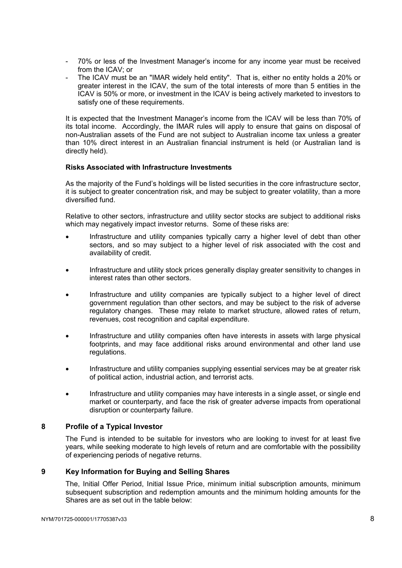- 70% or less of the Investment Manager's income for any income year must be received from the ICAV; or
- The ICAV must be an "IMAR widely held entity". That is, either no entity holds a 20% or greater interest in the ICAV, the sum of the total interests of more than 5 entities in the ICAV is 50% or more, or investment in the ICAV is being actively marketed to investors to satisfy one of these requirements.

It is expected that the Investment Manager's income from the ICAV will be less than 70% of its total income. Accordingly, the IMAR rules will apply to ensure that gains on disposal of non-Australian assets of the Fund are not subject to Australian income tax unless a greater than 10% direct interest in an Australian financial instrument is held (or Australian land is directly held).

# **Risks Associated with Infrastructure Investments**

As the majority of the Fund's holdings will be listed securities in the core infrastructure sector, it is subject to greater concentration risk, and may be subject to greater volatility, than a more diversified fund.

Relative to other sectors, infrastructure and utility sector stocks are subject to additional risks which may negatively impact investor returns. Some of these risks are:

- Infrastructure and utility companies typically carry a higher level of debt than other sectors, and so may subject to a higher level of risk associated with the cost and availability of credit.
- Infrastructure and utility stock prices generally display greater sensitivity to changes in interest rates than other sectors.
- Infrastructure and utility companies are typically subject to a higher level of direct government regulation than other sectors, and may be subject to the risk of adverse regulatory changes. These may relate to market structure, allowed rates of return, revenues, cost recognition and capital expenditure.
- Infrastructure and utility companies often have interests in assets with large physical footprints, and may face additional risks around environmental and other land use regulations.
- Infrastructure and utility companies supplying essential services may be at greater risk of political action, industrial action, and terrorist acts.
- Infrastructure and utility companies may have interests in a single asset, or single end market or counterparty, and face the risk of greater adverse impacts from operational disruption or counterparty failure.

# **8 Profile of a Typical Investor**

The Fund is intended to be suitable for investors who are looking to invest for at least five years, while seeking moderate to high levels of return and are comfortable with the possibility of experiencing periods of negative returns.

# **9 Key Information for Buying and Selling Shares**

The, Initial Offer Period, Initial Issue Price, minimum initial subscription amounts, minimum subsequent subscription and redemption amounts and the minimum holding amounts for the Shares are as set out in the table below: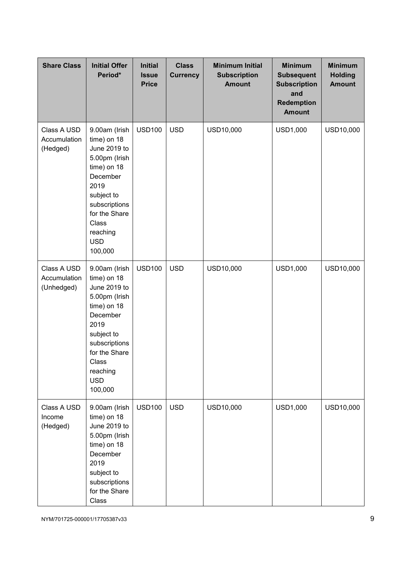| <b>Share Class</b>                        | <b>Initial Offer</b><br>Period*                                                                                                                                                                | <b>Initial</b><br><b>Issue</b><br><b>Price</b> | <b>Class</b><br><b>Currency</b> | <b>Minimum Initial</b><br><b>Subscription</b><br><b>Amount</b> | <b>Minimum</b><br><b>Subsequent</b><br><b>Subscription</b><br>and<br><b>Redemption</b><br><b>Amount</b> | <b>Minimum</b><br><b>Holding</b><br><b>Amount</b> |
|-------------------------------------------|------------------------------------------------------------------------------------------------------------------------------------------------------------------------------------------------|------------------------------------------------|---------------------------------|----------------------------------------------------------------|---------------------------------------------------------------------------------------------------------|---------------------------------------------------|
| Class A USD<br>Accumulation<br>(Hedged)   | 9.00am (Irish<br>time) on 18<br>June 2019 to<br>5.00pm (Irish<br>time) on 18<br>December<br>2019<br>subject to<br>subscriptions<br>for the Share<br>Class<br>reaching<br><b>USD</b><br>100,000 | <b>USD100</b>                                  | <b>USD</b>                      | USD10,000                                                      | USD1,000                                                                                                | USD10,000                                         |
| Class A USD<br>Accumulation<br>(Unhedged) | 9.00am (Irish<br>time) on 18<br>June 2019 to<br>5.00pm (Irish<br>time) on 18<br>December<br>2019<br>subject to<br>subscriptions<br>for the Share<br>Class<br>reaching<br><b>USD</b><br>100,000 | <b>USD100</b>                                  | <b>USD</b>                      | USD10,000                                                      | <b>USD1,000</b>                                                                                         | USD10,000                                         |
| Class A USD<br>Income<br>(Hedged)         | 9.00am (Irish<br>time) on 18<br>June 2019 to<br>5.00pm (Irish<br>time) on 18<br>December<br>2019<br>subject to<br>subscriptions<br>for the Share<br>Class                                      | <b>USD100</b>                                  | <b>USD</b>                      | USD10,000                                                      | USD1,000                                                                                                | USD10,000                                         |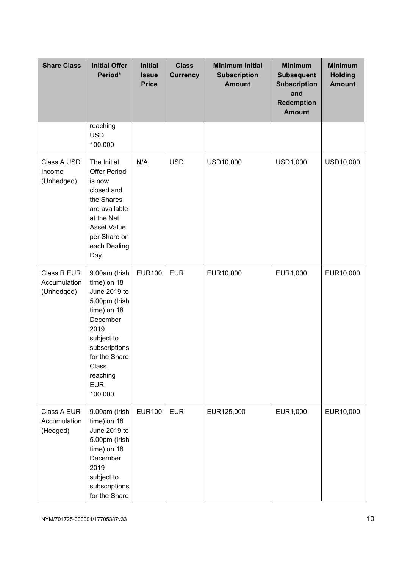| <b>Share Class</b>                        | <b>Initial Offer</b><br>Period*                                                                                                                                                                | <b>Initial</b><br><b>Issue</b><br><b>Price</b> | <b>Class</b><br><b>Currency</b> | <b>Minimum Initial</b><br><b>Subscription</b><br><b>Amount</b> | <b>Minimum</b><br><b>Subsequent</b><br><b>Subscription</b><br>and<br><b>Redemption</b><br><b>Amount</b> | <b>Minimum</b><br><b>Holding</b><br><b>Amount</b> |
|-------------------------------------------|------------------------------------------------------------------------------------------------------------------------------------------------------------------------------------------------|------------------------------------------------|---------------------------------|----------------------------------------------------------------|---------------------------------------------------------------------------------------------------------|---------------------------------------------------|
|                                           | reaching<br><b>USD</b><br>100,000                                                                                                                                                              |                                                |                                 |                                                                |                                                                                                         |                                                   |
| Class A USD<br>Income<br>(Unhedged)       | The Initial<br><b>Offer Period</b><br>is now<br>closed and<br>the Shares<br>are available<br>at the Net<br><b>Asset Value</b><br>per Share on<br>each Dealing<br>Day.                          | N/A                                            | <b>USD</b>                      | USD10,000                                                      | <b>USD1,000</b>                                                                                         | USD10,000                                         |
| Class R EUR<br>Accumulation<br>(Unhedged) | 9.00am (Irish<br>time) on 18<br>June 2019 to<br>5.00pm (Irish<br>time) on 18<br>December<br>2019<br>subject to<br>subscriptions<br>for the Share<br>Class<br>reaching<br><b>EUR</b><br>100,000 | <b>EUR100</b>                                  | <b>EUR</b>                      | EUR10,000                                                      | EUR1,000                                                                                                | EUR10,000                                         |
| Class A EUR<br>Accumulation<br>(Hedged)   | 9.00am (Irish<br>time) on 18<br>June 2019 to<br>5.00pm (Irish<br>time) on 18<br>December<br>2019<br>subject to<br>subscriptions<br>for the Share                                               | <b>EUR100</b>                                  | <b>EUR</b>                      | EUR125,000                                                     | EUR1,000                                                                                                | EUR10,000                                         |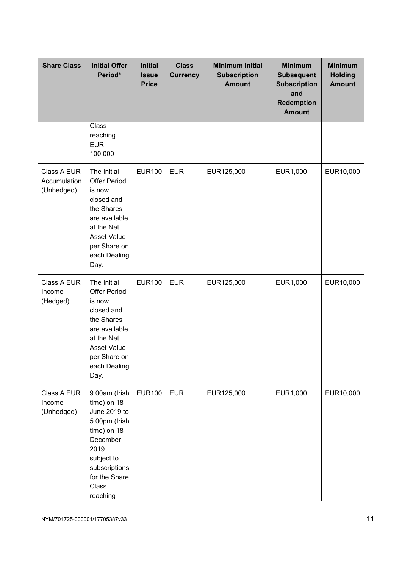| <b>Share Class</b>                        | <b>Initial Offer</b><br>Period*                                                                                                                                       | <b>Initial</b><br><b>Issue</b><br><b>Price</b> | <b>Class</b><br><b>Currency</b> | <b>Minimum Initial</b><br><b>Subscription</b><br><b>Amount</b> | <b>Minimum</b><br><b>Subsequent</b><br><b>Subscription</b><br>and<br><b>Redemption</b><br><b>Amount</b> | <b>Minimum</b><br><b>Holding</b><br><b>Amount</b> |
|-------------------------------------------|-----------------------------------------------------------------------------------------------------------------------------------------------------------------------|------------------------------------------------|---------------------------------|----------------------------------------------------------------|---------------------------------------------------------------------------------------------------------|---------------------------------------------------|
|                                           | Class<br>reaching<br><b>EUR</b><br>100,000                                                                                                                            |                                                |                                 |                                                                |                                                                                                         |                                                   |
| Class A EUR<br>Accumulation<br>(Unhedged) | The Initial<br><b>Offer Period</b><br>is now<br>closed and<br>the Shares<br>are available<br>at the Net<br><b>Asset Value</b><br>per Share on<br>each Dealing<br>Day. | <b>EUR100</b>                                  | <b>EUR</b>                      | EUR125,000                                                     | EUR1,000                                                                                                | EUR10,000                                         |
| Class A EUR<br>Income<br>(Hedged)         | The Initial<br><b>Offer Period</b><br>is now<br>closed and<br>the Shares<br>are available<br>at the Net<br><b>Asset Value</b><br>per Share on<br>each Dealing<br>Day. | <b>EUR100</b>                                  | <b>EUR</b>                      | EUR125,000                                                     | EUR1,000                                                                                                | EUR10,000                                         |
| Class A EUR<br>Income<br>(Unhedged)       | 9.00am (Irish<br>time) on 18<br>June 2019 to<br>5.00pm (Irish<br>time) on 18<br>December<br>2019<br>subject to<br>subscriptions<br>for the Share<br>Class<br>reaching | <b>EUR100</b>                                  | <b>EUR</b>                      | EUR125,000                                                     | EUR1,000                                                                                                | EUR10,000                                         |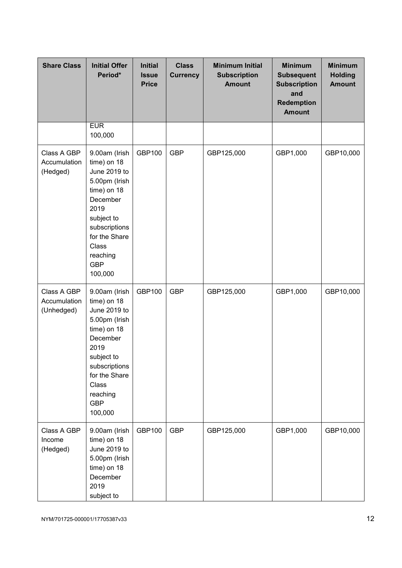| <b>Share Class</b>                        | <b>Initial Offer</b><br>Period*                                                                                                                                                                | <b>Initial</b><br><b>Issue</b><br><b>Price</b> | <b>Class</b><br><b>Currency</b> | <b>Minimum Initial</b><br><b>Subscription</b><br><b>Amount</b> | <b>Minimum</b><br><b>Subsequent</b><br><b>Subscription</b><br>and<br><b>Redemption</b><br><b>Amount</b> | <b>Minimum</b><br><b>Holding</b><br><b>Amount</b> |
|-------------------------------------------|------------------------------------------------------------------------------------------------------------------------------------------------------------------------------------------------|------------------------------------------------|---------------------------------|----------------------------------------------------------------|---------------------------------------------------------------------------------------------------------|---------------------------------------------------|
|                                           | <b>EUR</b><br>100,000                                                                                                                                                                          |                                                |                                 |                                                                |                                                                                                         |                                                   |
| Class A GBP<br>Accumulation<br>(Hedged)   | 9.00am (Irish<br>time) on 18<br>June 2019 to<br>5.00pm (Irish<br>time) on 18<br>December<br>2019<br>subject to<br>subscriptions<br>for the Share<br>Class<br>reaching<br><b>GBP</b><br>100,000 | <b>GBP100</b>                                  | <b>GBP</b>                      | GBP125,000                                                     | GBP1,000                                                                                                | GBP10,000                                         |
| Class A GBP<br>Accumulation<br>(Unhedged) | 9.00am (Irish<br>time) on 18<br>June 2019 to<br>5.00pm (Irish<br>time) on 18<br>December<br>2019<br>subject to<br>subscriptions<br>for the Share<br>Class<br>reaching<br><b>GBP</b><br>100,000 | <b>GBP100</b>                                  | <b>GBP</b>                      | GBP125,000                                                     | GBP1,000                                                                                                | GBP10,000                                         |
| Class A GBP<br>Income<br>(Hedged)         | 9.00am (Irish<br>time) on 18<br>June 2019 to<br>5.00pm (Irish<br>time) on 18<br>December<br>2019<br>subject to                                                                                 | GBP100                                         | <b>GBP</b>                      | GBP125,000                                                     | GBP1,000                                                                                                | GBP10,000                                         |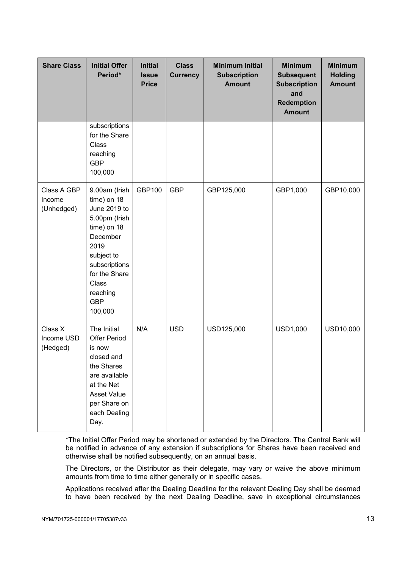| <b>Share Class</b>                  | <b>Initial Offer</b><br>Period*                                                                                                                                                                | <b>Initial</b><br><b>Issue</b><br><b>Price</b> | <b>Class</b><br><b>Currency</b> | <b>Minimum Initial</b><br><b>Subscription</b><br><b>Amount</b> | <b>Minimum</b><br><b>Subsequent</b><br><b>Subscription</b><br>and<br><b>Redemption</b><br><b>Amount</b> | <b>Minimum</b><br><b>Holding</b><br><b>Amount</b> |
|-------------------------------------|------------------------------------------------------------------------------------------------------------------------------------------------------------------------------------------------|------------------------------------------------|---------------------------------|----------------------------------------------------------------|---------------------------------------------------------------------------------------------------------|---------------------------------------------------|
|                                     | subscriptions<br>for the Share<br>Class<br>reaching<br><b>GBP</b><br>100,000                                                                                                                   |                                                |                                 |                                                                |                                                                                                         |                                                   |
| Class A GBP<br>Income<br>(Unhedged) | 9.00am (Irish<br>time) on 18<br>June 2019 to<br>5.00pm (Irish<br>time) on 18<br>December<br>2019<br>subject to<br>subscriptions<br>for the Share<br>Class<br>reaching<br><b>GBP</b><br>100,000 | GBP100                                         | <b>GBP</b>                      | GBP125,000                                                     | GBP1,000                                                                                                | GBP10,000                                         |
| Class X<br>Income USD<br>(Hedged)   | The Initial<br><b>Offer Period</b><br>is now<br>closed and<br>the Shares<br>are available<br>at the Net<br><b>Asset Value</b><br>per Share on<br>each Dealing<br>Day.                          | N/A                                            | <b>USD</b>                      | USD125,000                                                     | USD1,000                                                                                                | USD10,000                                         |

\*The Initial Offer Period may be shortened or extended by the Directors. The Central Bank will be notified in advance of any extension if subscriptions for Shares have been received and otherwise shall be notified subsequently, on an annual basis.

The Directors, or the Distributor as their delegate, may vary or waive the above minimum amounts from time to time either generally or in specific cases.

Applications received after the Dealing Deadline for the relevant Dealing Day shall be deemed to have been received by the next Dealing Deadline, save in exceptional circumstances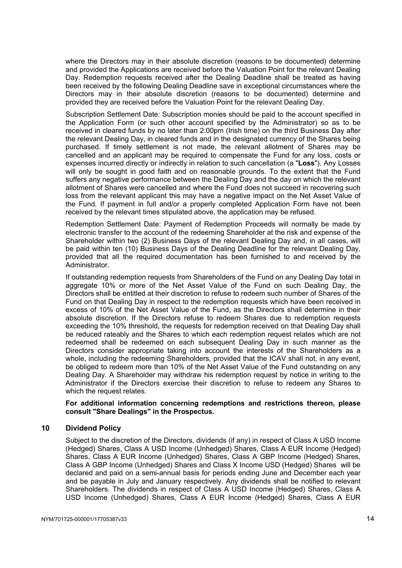where the Directors may in their absolute discretion (reasons to be documented) determine and provided the Applications are received before the Valuation Point for the relevant Dealing Day. Redemption requests received after the Dealing Deadline shall be treated as having been received by the following Dealing Deadline save in exceptional circumstances where the Directors may in their absolute discretion (reasons to be documented) determine and provided they are received before the Valuation Point for the relevant Dealing Day.

Subscription Settlement Date: Subscription monies should be paid to the account specified in the Application Form (or such other account specified by the Administrator) so as to be received in cleared funds by no later than 2:00pm (Irish time) on the third Business Day after the relevant Dealing Day, in cleared funds and in the designated currency of the Shares being purchased. If timely settlement is not made, the relevant allotment of Shares may be cancelled and an applicant may be required to compensate the Fund for any loss, costs or expenses incurred directly or indirectly in relation to such cancellation (a "**Loss**"). Any Losses will only be sought in good faith and on reasonable grounds. To the extent that the Fund suffers any negative performance between the Dealing Day and the day on which the relevant allotment of Shares were cancelled and where the Fund does not succeed in recovering such loss from the relevant applicant this may have a negative impact on the Net Asset Value of the Fund. If payment in full and/or a properly completed Application Form have not been received by the relevant times stipulated above, the application may be refused.

Redemption Settlement Date: Payment of Redemption Proceeds will normally be made by electronic transfer to the account of the redeeming Shareholder at the risk and expense of the Shareholder within two (2) Business Days of the relevant Dealing Day and, in all cases, will be paid within ten (10) Business Days of the Dealing Deadline for the relevant Dealing Day, provided that all the required documentation has been furnished to and received by the Administrator.

If outstanding redemption requests from Shareholders of the Fund on any Dealing Day total in aggregate 10% or more of the Net Asset Value of the Fund on such Dealing Day, the Directors shall be entitled at their discretion to refuse to redeem such number of Shares of the Fund on that Dealing Day in respect to the redemption requests which have been received in excess of 10% of the Net Asset Value of the Fund, as the Directors shall determine in their absolute discretion. If the Directors refuse to redeem Shares due to redemption requests exceeding the 10% threshold, the requests for redemption received on that Dealing Day shall be reduced rateably and the Shares to which each redemption request relates which are not redeemed shall be redeemed on each subsequent Dealing Day in such manner as the Directors consider appropriate taking into account the interests of the Shareholders as a whole, including the redeeming Shareholders, provided that the ICAV shall not, in any event, be obliged to redeem more than 10% of the Net Asset Value of the Fund outstanding on any Dealing Day. A Shareholder may withdraw his redemption request by notice in writing to the Administrator if the Directors exercise their discretion to refuse to redeem any Shares to which the request relates.

## **For additional information concerning redemptions and restrictions thereon, please consult "Share Dealings" in the Prospectus.**

# **10 Dividend Policy**

Subject to the discretion of the Directors, dividends (if any) in respect of Class A USD Income (Hedged) Shares, Class A USD Income (Unhedged) Shares, Class A EUR Income (Hedged) Shares, Class A EUR Income (Unhedged) Shares, Class A GBP Income (Hedged) Shares, Class A GBP Income (Unhedged) Shares and Class X Income USD (Hedged) Shares will be declared and paid on a semi-annual basis for periods ending June and December each year and be payable in July and January respectively. Any dividends shall be notified to relevant Shareholders. The dividends in respect of Class A USD Income (Hedged) Shares, Class A USD Income (Unhedged) Shares, Class A EUR Income (Hedged) Shares, Class A EUR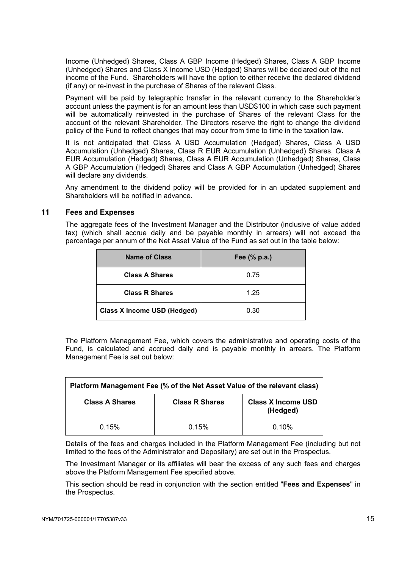Income (Unhedged) Shares, Class A GBP Income (Hedged) Shares, Class A GBP Income (Unhedged) Shares and Class X Income USD (Hedged) Shares will be declared out of the net income of the Fund. Shareholders will have the option to either receive the declared dividend (if any) or re-invest in the purchase of Shares of the relevant Class.

Payment will be paid by telegraphic transfer in the relevant currency to the Shareholder's account unless the payment is for an amount less than USD\$100 in which case such payment will be automatically reinvested in the purchase of Shares of the relevant Class for the account of the relevant Shareholder. The Directors reserve the right to change the dividend policy of the Fund to reflect changes that may occur from time to time in the taxation law.

It is not anticipated that Class A USD Accumulation (Hedged) Shares, Class A USD Accumulation (Unhedged) Shares, Class R EUR Accumulation (Unhedged) Shares, Class A EUR Accumulation (Hedged) Shares, Class A EUR Accumulation (Unhedged) Shares, Class A GBP Accumulation (Hedged) Shares and Class A GBP Accumulation (Unhedged) Shares will declare any dividends.

Any amendment to the dividend policy will be provided for in an updated supplement and Shareholders will be notified in advance.

# **11 Fees and Expenses**

The aggregate fees of the Investment Manager and the Distributor (inclusive of value added tax) (which shall accrue daily and be payable monthly in arrears) will not exceed the percentage per annum of the Net Asset Value of the Fund as set out in the table below:

| Name of Class                      | Fee (% p.a.) |
|------------------------------------|--------------|
| <b>Class A Shares</b>              | 0.75         |
| <b>Class R Shares</b>              | 1.25         |
| <b>Class X Income USD (Hedged)</b> | 0.30         |

The Platform Management Fee, which covers the administrative and operating costs of the Fund, is calculated and accrued daily and is payable monthly in arrears. The Platform Management Fee is set out below:

| Platform Management Fee (% of the Net Asset Value of the relevant class)                |       |          |  |  |  |  |  |
|-----------------------------------------------------------------------------------------|-------|----------|--|--|--|--|--|
| <b>Class A Shares</b><br><b>Class R Shares</b><br><b>Class X Income USD</b><br>(Hedged) |       |          |  |  |  |  |  |
| 0.15%                                                                                   | 0.15% | $0.10\%$ |  |  |  |  |  |

Details of the fees and charges included in the Platform Management Fee (including but not limited to the fees of the Administrator and Depositary) are set out in the Prospectus.

The Investment Manager or its affiliates will bear the excess of any such fees and charges above the Platform Management Fee specified above.

This section should be read in conjunction with the section entitled "**Fees and Expenses**" in the Prospectus.